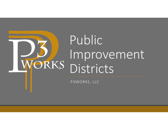

P3WORKS, LLC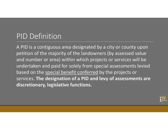## PID Definition

A PID is a contiguous area designated by a city or county upon petition of the majority of the landowners (by assessed value and number or area) within which projects or services will be undertaken and paid for solely from special assessments levied based on the special benefit conferred by the projects or services. **The designation of a PID and levy of assessments are discretionary, legislative functions.**

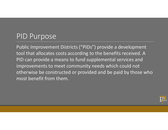### PID Purpose

Public Improvement Districts ("PIDs") provide a development tool that allocates costs according to the benefits received. A PID can provide a means to fund supplemental services and improvements to meet community needs which could not otherwise be constructed or provided and be paid by those who most benefit from them.

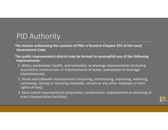## PID Authority

**The statute authorizing the creation of PIDs is found in Chapter 372 of the Local Government Code.** 

**The public improvements district may be formed to accomplish any of the following improvements:** 

- 1. Water, wastewater, health, and sanitation, or drainage improvements (including acquisition, construction, or improvements of water, wastewater or drainage improvements);
- 2. Street and sidewalk improvements (acquiring, constructing, improving, widening, narrowing, closing or rerouting sidewalks, streets or any other roadways or their rights‐of‐way);
- 3. Mass transit improvements (acquisition, construction, improvement or rerouting of mass transportation facilities);

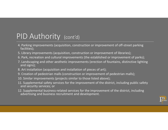## PID Authority (cont'd)

- 4. Parking improvements (acquisition, construction or improvement of off‐street parking facilities);
- 5. Library improvements (acquisition, construction or improvement of libraries);
- 6. Park, recreation and cultural improvements (the established or improvement of parks);
- 7. Landscaping and other aesthetic improvements (erection of fountains, distinctive lighting and signs);
- 8. Art installation (acquisition and installation of pieces of art);
- 9. Creation of pedestrian malls (construction or improvement of pedestrian malls);
- 10. Similar improvements (projects similar to those listed above);
- 11. Supplemental safety services for the improvement of the district, including public safety and security services; or
- 12. Supplemental business-related services for the improvement of the district, including advertising and business recruitment and development.

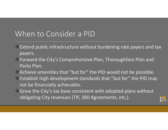## When to Consider a PID

- $\triangle$  Extend public infrastructure without burdening rate payers and tax payers.
- Forward the City's Comprehensive Plan, Thoroughfare Plan and Parks Plan.
- Achieve amenities that "but for" the PID would not be possible.
- $\Diamond$  Establish high development standards that "but for" the PID may not be financially achievable.
- \* Grow the City's tax base consistent with adopted plans without obligating City revenues (TIF, 380 Agreements, etc,).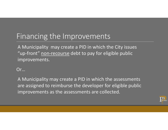## Financing the Improvements

A Municipality may create a PID in which the City issues "up‐front" non‐recourse debt to pay for eligible public improvements.

Or…

A Municipality may create a PID in which the assessments are assigned to reimburse the developer for eligible public improvements as the assessments are collected.

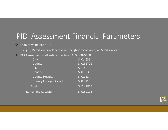### PID Assessment Financial Parameters

#### $\div$  Loan to Value Ratio 3:1

e.g. \$15 million developed value (neighborhood area) = \$5 million loan

#### $\div$  PID Assessment + all entities tax levy  $\leq \sim$ \$3.00/\$100

| City                           | \$0.4636   |
|--------------------------------|------------|
| County                         | \$0.32702  |
| <b>ISD</b>                     | $5\,$ 1.40 |
| $Road$ \$                      | \$0.08318  |
| <b>County Hospital</b>         | \$0.113    |
| <b>County College District</b> | \$0.11195  |
| Total                          | \$2.49875  |
| <b>Remaining Capacity</b>      | \$0.50125  |

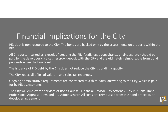# Financial Implications for the City

PID debt is non‐recourse to the City. The bonds are backed only by the assessments on property within the PID.

All City costs incurred as a result of creating the PID (staff, legal, consultants, engineers, etc.) should be paid by the developer via a cash escrow deposit with the City and are ultimately reimbursable from bond proceeds when the bonds sell.

The issuance of PID debt by the City does not reduce the City's bonding capacity.

The City keeps all of its ad valorem and sales tax revenues.

Ongoing administrative requirements are contracted to a third party, answering to the City, which is paid for by PID assessments.

The City will employ the services of Bond Counsel, Financial Advisor, City Attorney, City PID Consultant, Professional Appraisal Firm and PID Administrator. All costs are reimbursed from PID bond proceeds or developer agreement.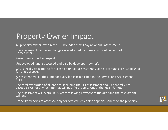### Property Owner Impact

All property owners within the PID boundaries will pay an annual assessment.

The assessment can never change once adopted by Council without consent of homeowners.

Assessments may be prepaid.

Undeveloped land is assessed and paid by developer (owner).

City is legally obligated to foreclose on unpaid assessments, so reserve funds are established for that purpose.

Assessment will be the same for every lot as established in the Service and Assessment Plan.

The total tax burden of all entities, including the PID assessment should generally not exceed \$3.05, or any tax rate that will put the property out of the local market.

The assessment will expire in 30 years following payment of the debt and the assessment will end.

Property owners are assessed only for costs which confer a special benefit to the property.

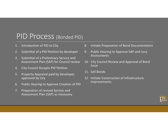### PID Process (Bonded PID)

- 1.Introduction of PID to City
- 2.Submittal of a PID Petition by developer
- 3. Submittal of a Preliminary Service and Assessment Plan (SAP) for Council review
- 4.City Council Accepts PID Petition
- 5. Property Appraisal paid by Developer, approved by City
- 6.Public Hearing to Approve Creation of PID
- 7. Preparation of revised Service and Assessment Plan (SAP) as necessary
- 8.Initiate Preparation of Bond Documentation
- 9. Public Hearing to Approve SAP and Levy Assessments
- 10. City Council Review and Approval of Bond Issue
- 11. Sell Bonds
- 12. Initiate Construction of infrastructure improvements